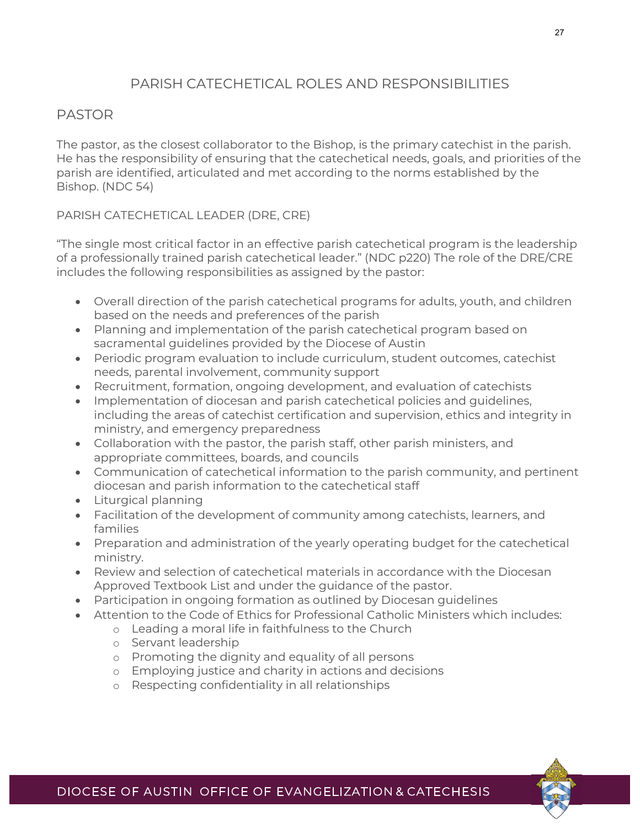### PARISH CATECHETICAL ROLES AND RESPONSIBILITIES

### PASTOR

The pastor, as the closest collaborator to the Bishop, is the primary catechist in the parish. He has the responsibility of ensuring that the catechetical needs, goals, and priorities of the parish are identified, articulated and met according to the norms established by the Bishop. (NDC 54)

PARISH CATECHETICAL LEADER (DRE, CRE)

"The single most critical factor in an effective parish catechetical program is the leadership of a professionally trained parish catechetical leader." (NDC p220) The role of the DRE/CRE includes the following responsibilities as assigned by the pastor:

- Overall direction of the parish catechetical programs for adults, youth, and children based on the needs and preferences of the parish
- Planning and implementation of the parish catechetical program based on sacramental guidelines provided by the Diocese of Austin
- Periodic program evaluation to include curriculum, student outcomes, catechist needs, parental involvement, community support
- Recruitment, formation, ongoing development, and evaluation of catechists
- Implementation of diocesan and parish catechetical policies and guidelines, including the areas of catechist certification and supervision, ethics and integrity in ministry, and emergency preparedness
- Collaboration with the pastor, the parish staff, other parish ministers, and appropriate committees, boards, and councils
- Communication of catechetical information to the parish community, and pertinent diocesan and parish information to the catechetical staff
- Liturgical planning
- Facilitation of the development of community among catechists, learners, and families
- Preparation and administration of the yearly operating budget for the catechetical ministry.
- Review and selection of catechetical materials in accordance with the Diocesan Approved Textbook List and under the guidance of the pastor.
- Participation in ongoing formation as outlined by Diocesan guidelines
- Attention to the Code of Ethics for Professional Catholic Ministers which includes:
	- o Leading a moral life in faithfulness to the Church
	- o Servant leadership
	- o Promoting the dignity and equality of all persons
	- o Employing justice and charity in actions and decisions
	- o Respecting confidentiality in all relationships

27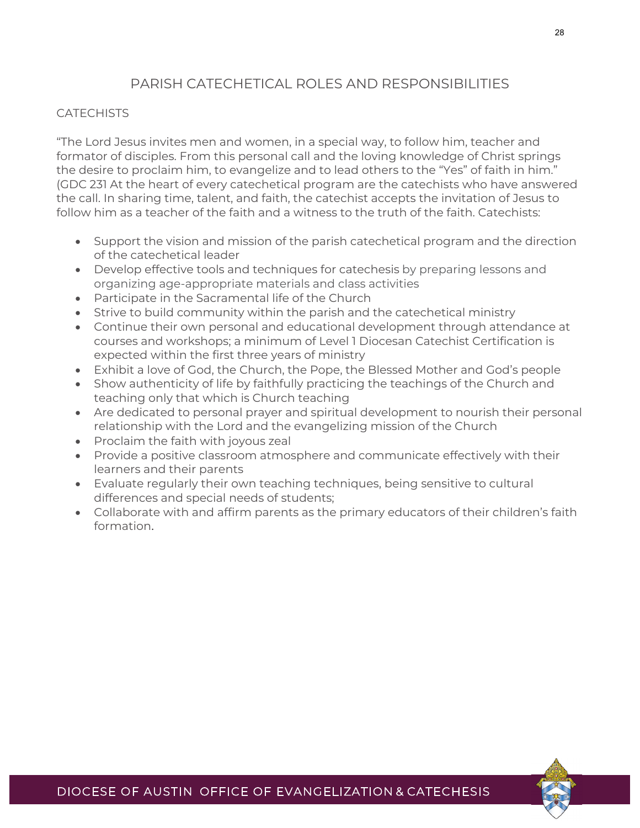# PARISH CATECHETICAL ROLES AND RESPONSIBILITIES

### **CATECHISTS**

"The Lord Jesus invites men and women, in a special way, to follow him, teacher and formator of disciples. From this personal call and the loving knowledge of Christ springs the desire to proclaim him, to evangelize and to lead others to the "Yes" of faith in him." (GDC 231 At the heart of every catechetical program are the catechists who have answered the call. In sharing time, talent, and faith, the catechist accepts the invitation of Jesus to follow him as a teacher of the faith and a witness to the truth of the faith. Catechists:

- Support the vision and mission of the parish catechetical program and the direction of the catechetical leader
- Develop effective tools and techniques for catechesis by preparing lessons and organizing age-appropriate materials and class activities
- Participate in the Sacramental life of the Church
- Strive to build community within the parish and the catechetical ministry
- Continue their own personal and educational development through attendance at courses and workshops; a minimum of Level 1 Diocesan Catechist Certification is expected within the first three years of ministry
- Exhibit a love of God, the Church, the Pope, the Blessed Mother and God's people
- Show authenticity of life by faithfully practicing the teachings of the Church and teaching only that which is Church teaching
- Are dedicated to personal prayer and spiritual development to nourish their personal relationship with the Lord and the evangelizing mission of the Church
- Proclaim the faith with joyous zeal
- Provide a positive classroom atmosphere and communicate effectively with their learners and their parents
- Evaluate regularly their own teaching techniques, being sensitive to cultural differences and special needs of students;
- Collaborate with and affirm parents as the primary educators of their children's faith formation.